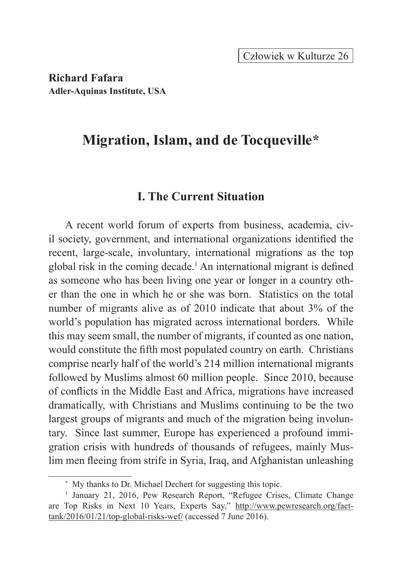**Richard Fafara Adler-Aquinas Institute, USA**

# **Migration, Islam, and de Tocqueville\***

## **I. The Current Situation**

A recent world forum of experts from business, academia, civil society, government, and international organizations identified the recent, large-scale, involuntary, international migrations as the top global risk in the coming decade.<sup>1</sup> An international migrant is defined as someone who has been living one year or longer in a country other than the one in which he or she was born. Statistics on the total number of migrants alive as of 2010 indicate that about 3% of the world's population has migrated across international borders. While this may seem small, the number of migrants, if counted as one nation, would constitute the fifth most populated country on earth. Christians comprise nearly half of the world's 214 million international migrants followed by Muslims almost 60 million people. Since 2010, because of conflicts in the Middle East and Africa, migrations have increased dramatically, with Christians and Muslims continuing to be the two largest groups of migrants and much of the migration being involuntary. Since last summer, Europe has experienced a profound immigration crisis with hundreds of thousands of refugees, mainly Muslim men fleeing from strife in Syria, Iraq, and Afghanistan unleashing

<sup>\*</sup> My thanks to Dr. Michael Dechert for suggesting this topic.

<sup>&</sup>lt;sup>1</sup> January 21, 2016, Pew Research Report, "Refugee Crises, Climate Change are Top Risks in Next 10 Years, Experts Say," http://www.pewresearch.org/facttank/2016/01/21/top-global-risks-wef/ (accessed 7 June 2016).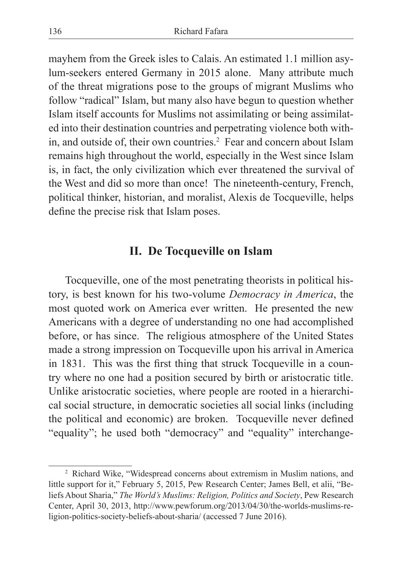mayhem from the Greek isles to Calais. An estimated 1.1 million asylum-seekers entered Germany in 2015 alone. Many attribute much of the threat migrations pose to the groups of migrant Muslims who follow "radical" Islam, but many also have begun to question whether Islam itself accounts for Muslims not assimilating or being assimilated into their destination countries and perpetrating violence both within, and outside of, their own countries.<sup>2</sup> Fear and concern about Islam remains high throughout the world, especially in the West since Islam is, in fact, the only civilization which ever threatened the survival of the West and did so more than once! The nineteenth-century, French, political thinker, historian, and moralist, Alexis de Tocqueville, helps define the precise risk that Islam poses.

## **II. De Tocqueville on Islam**

Tocqueville, one of the most penetrating theorists in political history, is best known for his two-volume *Democracy in America*, the most quoted work on America ever written. He presented the new Americans with a degree of understanding no one had accomplished before, or has since. The religious atmosphere of the United States made a strong impression on Tocqueville upon his arrival in America in 1831. This was the first thing that struck Tocqueville in a country where no one had a position secured by birth or aristocratic title. Unlike aristocratic societies, where people are rooted in a hierarchical social structure, in democratic societies all social links (including the political and economic) are broken. Tocqueville never defined "equality"; he used both "democracy" and "equality" interchange-

<sup>2</sup> Richard Wike, "Widespread concerns about extremism in Muslim nations, and little support for it," February 5, 2015, Pew Research Center; James Bell, et alii, "Beliefs About Sharia," *The World's Muslims: Religion, Politics and Society*, Pew Research Center, April 30, 2013, http://www.pewforum.org/2013/04/30/the-worlds-muslims-religion-politics-society-beliefs-about-sharia/ (accessed 7 June 2016).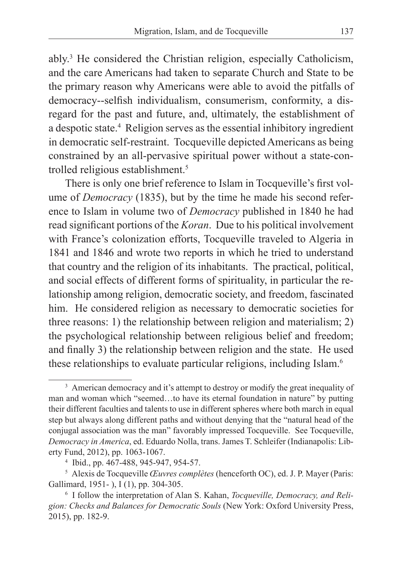ably.<sup>3</sup> He considered the Christian religion, especially Catholicism, and the care Americans had taken to separate Church and State to be the primary reason why Americans were able to avoid the pitfalls of democracy--selfish individualism, consumerism, conformity, a disregard for the past and future, and, ultimately, the establishment of a despotic state.<sup>4</sup> Religion serves as the essential inhibitory ingredient in democratic self-restraint. Tocqueville depicted Americans as being constrained by an all-pervasive spiritual power without a state-controlled religious establishment.<sup>5</sup>

There is only one brief reference to Islam in Tocqueville's first volume of *Democracy* (1835), but by the time he made his second reference to Islam in volume two of *Democracy* published in 1840 he had read significant portions of the *Koran*. Due to his political involvement with France's colonization efforts, Tocqueville traveled to Algeria in 1841 and 1846 and wrote two reports in which he tried to understand that country and the religion of its inhabitants. The practical, political, and social effects of different forms of spirituality, in particular the relationship among religion, democratic society, and freedom, fascinated him. He considered religion as necessary to democratic societies for three reasons: 1) the relationship between religion and materialism; 2) the psychological relationship between religious belief and freedom; and finally 3) the relationship between religion and the state. He used these relationships to evaluate particular religions, including Islam.<sup>6</sup>

<sup>&</sup>lt;sup>3</sup> American democracy and it's attempt to destroy or modify the great inequality of man and woman which "seemed…to have its eternal foundation in nature" by putting their different faculties and talents to use in different spheres where both march in equal step but always along different paths and without denying that the "natural head of the conjugal association was the man" favorably impressed Tocqueville. See Tocqueville, *Democracy in America*, ed. Eduardo Nolla, trans. James T. Schleifer (Indianapolis: Liberty Fund, 2012), pp. 1063-1067.

<sup>4</sup> Ibid., pp. 467-488, 945-947, 954-57.

<sup>5</sup> Alexis de Tocqueville *Œuvres complètes* (henceforth OC), ed. J. P. Mayer (Paris: Gallimard, 1951- ), I (1), pp. 304-305.

<sup>6</sup> I follow the interpretation of Alan S. Kahan, *Tocqueville, Democracy, and Religion: Checks and Balances for Democratic Souls* (New York: Oxford University Press, 2015), pp. 182-9.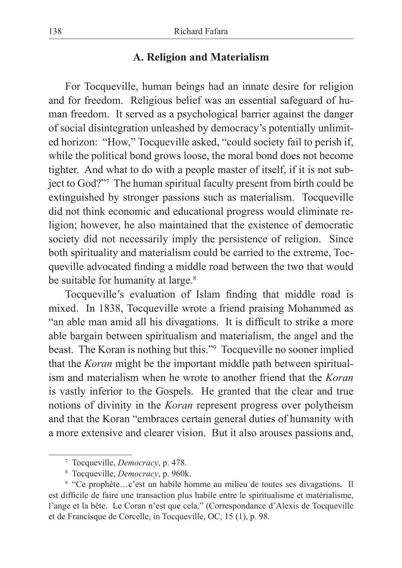#### **A. Religion and Materialism**

For Tocqueville, human beings had an innate desire for religion and for freedom. Religious belief was an essential safeguard of human freedom. It served as a psychological barrier against the danger of social disintegration unleashed by democracy's potentially unlimited horizon: "How," Tocqueville asked, "could society fail to perish if, while the political bond grows loose, the moral bond does not become tighter. And what to do with a people master of itself, if it is not subject to God?"7 The human spiritual faculty present from birth could be extinguished by stronger passions such as materialism. Tocqueville did not think economic and educational progress would eliminate religion; however, he also maintained that the existence of democratic society did not necessarily imply the persistence of religion. Since both spirituality and materialism could be carried to the extreme, Tocqueville advocated finding a middle road between the two that would be suitable for humanity at large.<sup>8</sup>

Tocqueville's evaluation of Islam finding that middle road is mixed. In 1838, Tocqueville wrote a friend praising Mohammed as "an able man amid all his divagations. It is difficult to strike a more able bargain between spiritualism and materialism, the angel and the beast. The Koran is nothing but this."9 Tocqueville no sooner implied that the *Koran* might be the important middle path between spiritualism and materialism when he wrote to another friend that the *Koran* is vastly inferior to the Gospels. He granted that the clear and true notions of divinity in the *Koran* represent progress over polytheism and that the Koran "embraces certain general duties of humanity with a more extensive and clearer vision. But it also arouses passions and,

<sup>7</sup> Tocqueville, *Democracy*, p. 478.

<sup>8</sup> Tocqueville, *Democracy*, p. 960k.

<sup>9</sup> "Ce prophète…c'est un habile homme au milieu de toutes ses divagations. Il est difficile de faire une transaction plus habile entre le spiritualisme et matérialisme, l'ange et la bête. Le Coran n'est que cela." (Correspondance d'Alexis de Tocqueville et de Francisque de Corcelle, in Tocqueville, OC, 15 (1), p. 98.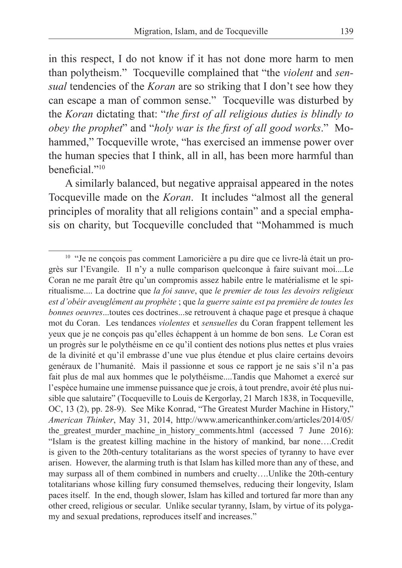in this respect, I do not know if it has not done more harm to men than polytheism." Tocqueville complained that "the *violent* and *sensual* tendencies of the *Koran* are so striking that I don't see how they can escape a man of common sense." Tocqueville was disturbed by the *Koran* dictating that: "*the first of all religious duties is blindly to obey the prophet*" and "*holy war is the first of all good works*." Mohammed," Tocqueville wrote, "has exercised an immense power over the human species that I think, all in all, has been more harmful than beneficial."10

A similarly balanced, but negative appraisal appeared in the notes Tocqueville made on the *Koran*. It includes "almost all the general principles of morality that all religions contain" and a special emphasis on charity, but Tocqueville concluded that "Mohammed is much

<sup>&</sup>lt;sup>10</sup> "Je ne conçois pas comment Lamoricière a pu dire que ce livre-là était un progrès sur l'Evangile. Il n'y a nulle comparison quelconque à faire suivant moi....Le Coran ne me paraît être qu'un compromis assez habile entre le matérialisme et le spiritualisme.... La doctrine que *la foi sauve*, que *le premier de tous les devoirs religieux est d'obéir aveuglément au prophète* ; que *la guerre sainte est pa première de toutes les bonnes oeuvres*...toutes ces doctrines...se retrouvent à chaque page et presque à chaque mot du Coran. Les tendances *violentes* et *sensuelles* du Coran frappent tellement les yeux que je ne conçois pas qu'elles échappent à un homme de bon sens. Le Coran est un progrès sur le polythéisme en ce qu'il contient des notions plus nettes et plus vraies de la divinité et qu'il embrasse d'une vue plus étendue et plus claire certains devoirs genéraux de l'humanité. Mais il passionne et sous ce rapport je ne sais s'il n'a pas fait plus de mal aux hommes que le polythéisme....Tandis que Mahomet a exercé sur l'espèce humaine une immense puissance que je crois, à tout prendre, avoir été plus nuisible que salutaire" (Tocqueville to Louis de Kergorlay, 21 March 1838, in Tocqueville, OC, 13 (2), pp. 28-9). See Mike Konrad, "The Greatest Murder Machine in History," *American Thinker*, May 31, 2014, http://www.americanthinker.com/articles/2014/05/ the greatest murder machine in history comments.html (accessed 7 June 2016): "Islam is the greatest killing machine in the history of mankind, bar none….Credit is given to the 20th-century totalitarians as the worst species of tyranny to have ever arisen. However, the alarming truth is that Islam has killed more than any of these, and may surpass all of them combined in numbers and cruelty….Unlike the 20th-century totalitarians whose killing fury consumed themselves, reducing their longevity, Islam paces itself. In the end, though slower, Islam has killed and tortured far more than any other creed, religious or secular. Unlike secular tyranny, Islam, by virtue of its polygamy and sexual predations, reproduces itself and increases."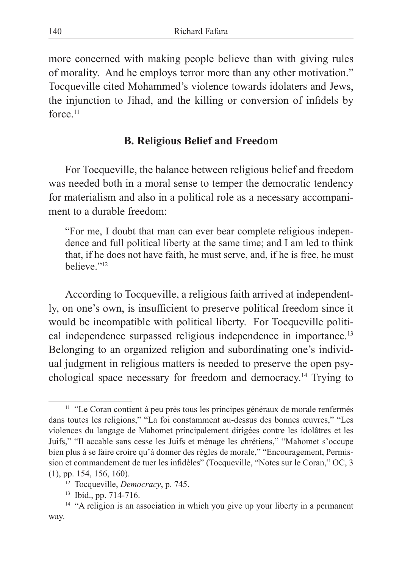more concerned with making people believe than with giving rules of morality. And he employs terror more than any other motivation." Tocqueville cited Mohammed's violence towards idolaters and Jews, the injunction to Jihad, and the killing or conversion of infidels by force.<sup>11</sup>

#### **B. Religious Belief and Freedom**

For Tocqueville, the balance between religious belief and freedom was needed both in a moral sense to temper the democratic tendency for materialism and also in a political role as a necessary accompaniment to a durable freedom:

"For me, I doubt that man can ever bear complete religious independence and full political liberty at the same time; and I am led to think that, if he does not have faith, he must serve, and, if he is free, he must believe."12

According to Tocqueville, a religious faith arrived at independently, on one's own, is insufficient to preserve political freedom since it would be incompatible with political liberty. For Tocqueville political independence surpassed religious independence in importance.<sup>13</sup> Belonging to an organized religion and subordinating one's individual judgment in religious matters is needed to preserve the open psychological space necessary for freedom and democracy.<sup>14</sup> Trying to

<sup>&</sup>lt;sup>11</sup> "Le Coran contient à peu près tous les principes généraux de morale renfermés dans toutes les religions," "La foi constamment au-dessus des bonnes œuvres," "Les violences du langage de Mahomet principalement dirigées contre les idolâtres et les Juifs," "Il accable sans cesse les Juifs et ménage les chrétiens," "Mahomet s'occupe bien plus à se faire croire qu'à donner des règles de morale," "Encouragement, Permission et commandement de tuer les infidèles" (Tocqueville, "Notes sur le Coran," OC, 3 (1), pp. 154, 156, 160).

<sup>12</sup> Tocqueville, *Democracy*, p. 745.

<sup>13</sup> Ibid., pp. 714-716.

<sup>&</sup>lt;sup>14</sup> "A religion is an association in which you give up your liberty in a permanent way.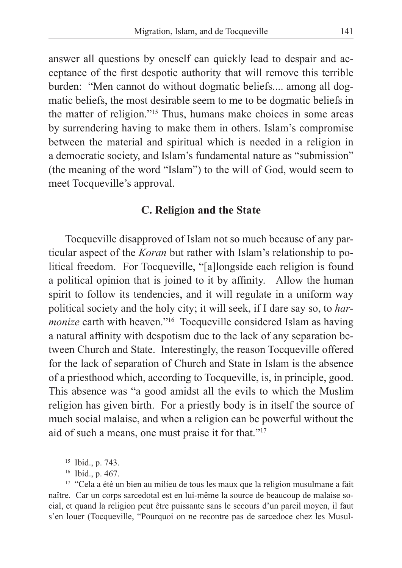answer all questions by oneself can quickly lead to despair and acceptance of the first despotic authority that will remove this terrible burden: "Men cannot do without dogmatic beliefs.... among all dogmatic beliefs, the most desirable seem to me to be dogmatic beliefs in the matter of religion."15 Thus, humans make choices in some areas by surrendering having to make them in others. Islam's compromise between the material and spiritual which is needed in a religion in a democratic society, and Islam's fundamental nature as "submission" (the meaning of the word "Islam") to the will of God, would seem to meet Tocqueville's approval.

#### **C. Religion and the State**

Tocqueville disapproved of Islam not so much because of any particular aspect of the *Koran* but rather with Islam's relationship to political freedom. For Tocqueville, "[a]longside each religion is found a political opinion that is joined to it by affinity. Allow the human spirit to follow its tendencies, and it will regulate in a uniform way political society and the holy city; it will seek, if I dare say so, to *harmonize* earth with heaven."<sup>16</sup> Tocqueville considered Islam as having a natural affinity with despotism due to the lack of any separation between Church and State. Interestingly, the reason Tocqueville offered for the lack of separation of Church and State in Islam is the absence of a priesthood which, according to Tocqueville, is, in principle, good. This absence was "a good amidst all the evils to which the Muslim religion has given birth. For a priestly body is in itself the source of much social malaise, and when a religion can be powerful without the aid of such a means, one must praise it for that."17

<sup>15</sup> Ibid., p. 743.

<sup>16</sup> Ibid., p. 467.

<sup>&</sup>lt;sup>17</sup> "Cela a été un bien au milieu de tous les maux que la religion musulmane a fait naître. Car un corps sarcedotal est en lui-même la source de beaucoup de malaise social, et quand la religion peut être puissante sans le secours d'un pareil moyen, il faut s'en louer (Tocqueville, "Pourquoi on ne recontre pas de sarcedoce chez les Musul-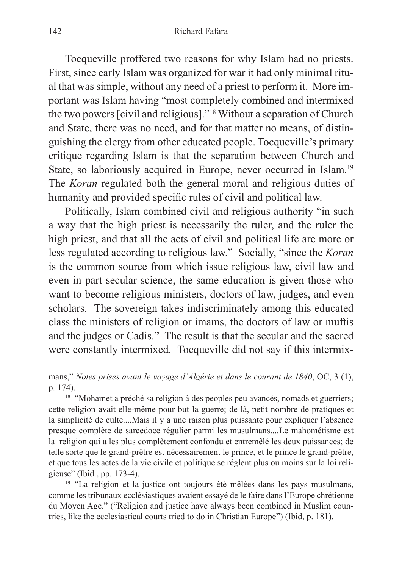Tocqueville proffered two reasons for why Islam had no priests. First, since early Islam was organized for war it had only minimal ritual that was simple, without any need of a priest to perform it. More important was Islam having "most completely combined and intermixed the two powers [civil and religious]."18 Without a separation of Church and State, there was no need, and for that matter no means, of distinguishing the clergy from other educated people. Tocqueville's primary critique regarding Islam is that the separation between Church and State, so laboriously acquired in Europe, never occurred in Islam.<sup>19</sup> The *Koran* regulated both the general moral and religious duties of humanity and provided specific rules of civil and political law.

Politically, Islam combined civil and religious authority "in such a way that the high priest is necessarily the ruler, and the ruler the high priest, and that all the acts of civil and political life are more or less regulated according to religious law." Socially, "since the *Koran* is the common source from which issue religious law, civil law and even in part secular science, the same education is given those who want to become religious ministers, doctors of law, judges, and even scholars. The sovereign takes indiscriminately among this educated class the ministers of religion or imams, the doctors of law or muftis and the judges or Cadis." The result is that the secular and the sacred were constantly intermixed. Tocqueville did not say if this intermix-

mans," *Notes prises avant le voyage d'Algérie et dans le courant de 1840*, OC, 3 (1), p. 174).

<sup>&</sup>lt;sup>18</sup> "Mohamet a préché sa religion à des peoples peu avancés, nomads et guerriers; cette religion avait elle-même pour but la guerre; de là, petit nombre de pratiques et la simplicité de culte....Mais il y a une raison plus puissante pour expliquer l'absence presque complète de sarcedoce régulier parmi les musulmans....Le mahométisme est la religion qui a les plus complètement confondu et entremêlé les deux puissances; de telle sorte que le grand-prêtre est nécessairement le prince, et le prince le grand-prêtre, et que tous les actes de la vie civile et politique se réglent plus ou moins sur la loi religieuse" (Ibid., pp. 173-4).

<sup>&</sup>lt;sup>19</sup> "La religion et la justice ont toujours été mêlées dans les pays musulmans, comme les tribunaux ecclésiastiques avaient essayé de le faire dans l'Europe chrétienne du Moyen Age." ("Religion and justice have always been combined in Muslim countries, like the ecclesiastical courts tried to do in Christian Europe") (Ibid, p. 181).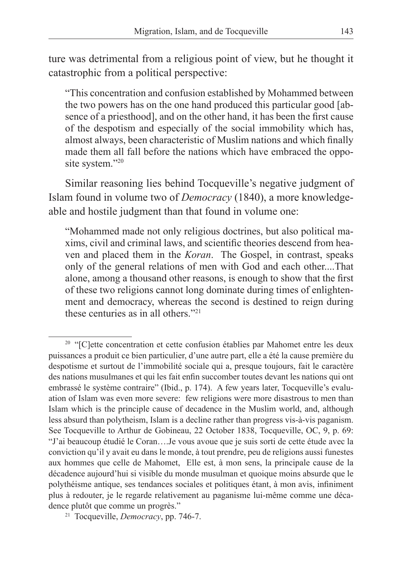ture was detrimental from a religious point of view, but he thought it catastrophic from a political perspective:

"This concentration and confusion established by Mohammed between the two powers has on the one hand produced this particular good [absence of a priesthood], and on the other hand, it has been the first cause of the despotism and especially of the social immobility which has, almost always, been characteristic of Muslim nations and which finally made them all fall before the nations which have embraced the opposite system."20

Similar reasoning lies behind Tocqueville's negative judgment of Islam found in volume two of *Democracy* (1840), a more knowledgeable and hostile judgment than that found in volume one:

"Mohammed made not only religious doctrines, but also political maxims, civil and criminal laws, and scientific theories descend from heaven and placed them in the *Koran*. The Gospel, in contrast, speaks only of the general relations of men with God and each other....That alone, among a thousand other reasons, is enough to show that the first of these two religions cannot long dominate during times of enlightenment and democracy, whereas the second is destined to reign during these centuries as in all others."21

<sup>&</sup>lt;sup>20</sup> "[C]ette concentration et cette confusion établies par Mahomet entre les deux puissances a produit ce bien particulier, d'une autre part, elle a été la cause première du despotisme et surtout de l'immobilité sociale qui a, presque toujours, fait le caractère des nations musulmanes et qui les fait enfin succomber toutes devant les nations qui ont embrassé le système contraire" (Ibid., p. 174). A few years later, Tocqueville's evaluation of Islam was even more severe: few religions were more disastrous to men than Islam which is the principle cause of decadence in the Muslim world, and, although less absurd than polytheism, Islam is a decline rather than progress vis-à-vis paganism. See Tocqueville to Arthur de Gobineau, 22 October 1838, Tocqueville, OC, 9, p. 69: "J'ai beaucoup étudié le Coran….Je vous avoue que je suis sorti de cette étude avec la conviction qu'il y avait eu dans le monde, à tout prendre, peu de religions aussi funestes aux hommes que celle de Mahomet, Elle est, à mon sens, la principale cause de la décadence aujourd'hui si visible du monde musulman et quoique moins absurde que le polythéisme antique, ses tendances sociales et politiques étant, à mon avis, infiniment plus à redouter, je le regarde relativement au paganisme lui-même comme une décadence plutôt que comme un progrès."

<sup>21</sup> Tocqueville, *Democracy*, pp. 746-7.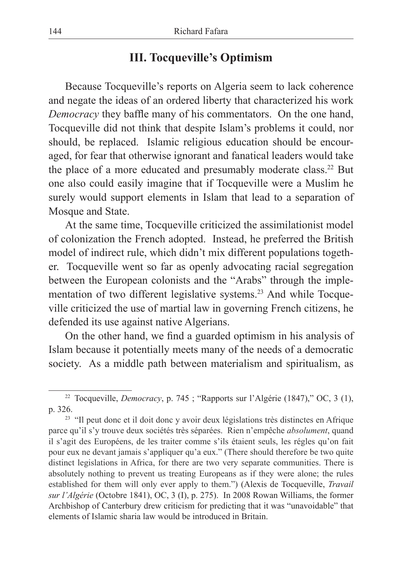# **III. Tocqueville's Optimism**

Because Tocqueville's reports on Algeria seem to lack coherence and negate the ideas of an ordered liberty that characterized his work *Democracy* they baffle many of his commentators. On the one hand, Tocqueville did not think that despite Islam's problems it could, nor should, be replaced. Islamic religious education should be encouraged, for fear that otherwise ignorant and fanatical leaders would take the place of a more educated and presumably moderate class.22 But one also could easily imagine that if Tocqueville were a Muslim he surely would support elements in Islam that lead to a separation of Mosque and State.

At the same time, Tocqueville criticized the assimilationist model of colonization the French adopted. Instead, he preferred the British model of indirect rule, which didn't mix different populations together. Tocqueville went so far as openly advocating racial segregation between the European colonists and the "Arabs" through the implementation of two different legislative systems.23 And while Tocqueville criticized the use of martial law in governing French citizens, he defended its use against native Algerians.

On the other hand, we find a guarded optimism in his analysis of Islam because it potentially meets many of the needs of a democratic society. As a middle path between materialism and spiritualism, as

<sup>22</sup> Tocqueville, *Democracy*, p. 745 ; "Rapports sur l'Algérie (1847)," OC, 3 (1), p. 326.

<sup>&</sup>lt;sup>23</sup> "Il peut donc et il doit donc y avoir deux législations très distinctes en Afrique parce qu'il s'y trouve deux sociétés très séparées. Rien n'empêche *absolument*, quand il s'agit des Européens, de les traiter comme s'ils étaient seuls, les régles qu'on fait pour eux ne devant jamais s'appliquer qu'a eux." (There should therefore be two quite distinct legislations in Africa, for there are two very separate communities. There is absolutely nothing to prevent us treating Europeans as if they were alone; the rules established for them will only ever apply to them.") (Alexis de Tocqueville, *Travail sur l'Algérie* (Octobre 1841), OC, 3 (I), p. 275). In 2008 Rowan Williams, the former Archbishop of Canterbury drew criticism for predicting that it was "unavoidable" that elements of Islamic sharia law would be introduced in Britain.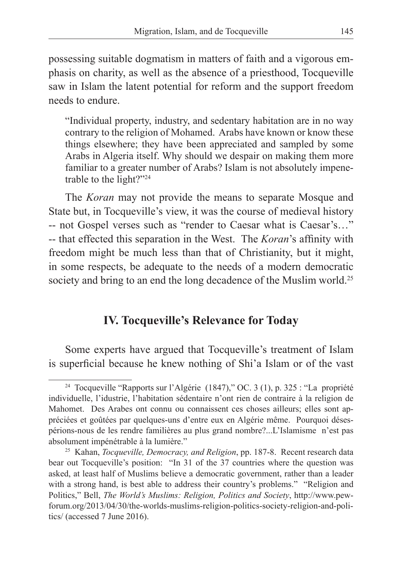possessing suitable dogmatism in matters of faith and a vigorous emphasis on charity, as well as the absence of a priesthood, Tocqueville saw in Islam the latent potential for reform and the support freedom needs to endure.

"Individual property, industry, and sedentary habitation are in no way contrary to the religion of Mohamed. Arabs have known or know these things elsewhere; they have been appreciated and sampled by some Arabs in Algeria itself. Why should we despair on making them more familiar to a greater number of Arabs? Islam is not absolutely impenetrable to the light?"24

The *Koran* may not provide the means to separate Mosque and State but, in Tocqueville's view, it was the course of medieval history -- not Gospel verses such as "render to Caesar what is Caesar's…" -- that effected this separation in the West. The *Koran*'s affinity with freedom might be much less than that of Christianity, but it might, in some respects, be adequate to the needs of a modern democratic society and bring to an end the long decadence of the Muslim world.<sup>25</sup>

# **IV. Tocqueville's Relevance for Today**

Some experts have argued that Tocqueville's treatment of Islam is superficial because he knew nothing of Shi'a Islam or of the vast

<sup>24</sup> Tocqueville "Rapports sur l'Algérie (1847)," OC. 3 (1), p. 325 : "La propriété individuelle, l'idustrie, l'habitation sédentaire n'ont rien de contraire à la religion de Mahomet. Des Arabes ont connu ou connaissent ces choses ailleurs; elles sont appréciées et goûtées par quelques-uns d'entre eux en Algérie même. Pourquoi désespérions-nous de les rendre familières au plus grand nombre?...L'Islamisme n'est pas absolument impénétrable à la lumière."

<sup>25</sup> Kahan, *Tocqueville, Democracy, and Religion*, pp. 187-8. Recent research data bear out Tocqueville's position: "In 31 of the 37 countries where the question was asked, at least half of Muslims believe a democratic government, rather than a leader with a strong hand, is best able to address their country's problems." "Religion and Politics," Bell, *The World's Muslims: Religion, Politics and Society*, http://www.pewforum.org/2013/04/30/the-worlds-muslims-religion-politics-society-religion-and-politics/ (accessed 7 June 2016).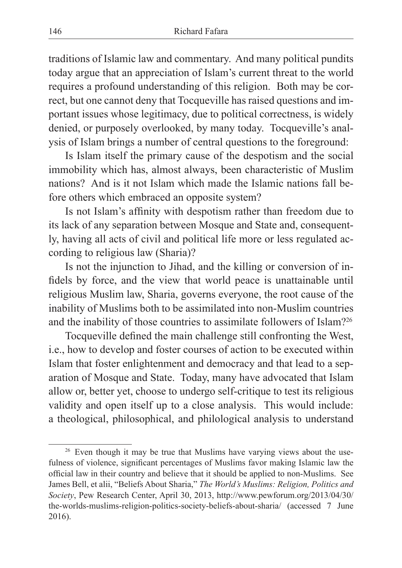traditions of Islamic law and commentary. And many political pundits today argue that an appreciation of Islam's current threat to the world requires a profound understanding of this religion. Both may be correct, but one cannot deny that Tocqueville has raised questions and important issues whose legitimacy, due to political correctness, is widely denied, or purposely overlooked, by many today. Tocqueville's analysis of Islam brings a number of central questions to the foreground:

Is Islam itself the primary cause of the despotism and the social immobility which has, almost always, been characteristic of Muslim nations? And is it not Islam which made the Islamic nations fall before others which embraced an opposite system?

Is not Islam's affinity with despotism rather than freedom due to its lack of any separation between Mosque and State and, consequently, having all acts of civil and political life more or less regulated according to religious law (Sharia)?

Is not the injunction to Jihad, and the killing or conversion of infidels by force, and the view that world peace is unattainable until religious Muslim law, Sharia, governs everyone, the root cause of the inability of Muslims both to be assimilated into non-Muslim countries and the inability of those countries to assimilate followers of Islam?26

Tocqueville defined the main challenge still confronting the West, i.e., how to develop and foster courses of action to be executed within Islam that foster enlightenment and democracy and that lead to a separation of Mosque and State. Today, many have advocated that Islam allow or, better yet, choose to undergo self-critique to test its religious validity and open itself up to a close analysis. This would include: a theological, philosophical, and philological analysis to understand

<sup>&</sup>lt;sup>26</sup> Even though it may be true that Muslims have varying views about the usefulness of violence, significant percentages of Muslims favor making Islamic law the official law in their country and believe that it should be applied to non-Muslims. See James Bell, et alii, "Beliefs About Sharia," *The World's Muslims: Religion, Politics and Society*, Pew Research Center, April 30, 2013, http://www.pewforum.org/2013/04/30/ the-worlds-muslims-religion-politics-society-beliefs-about-sharia/ (accessed 7 June 2016).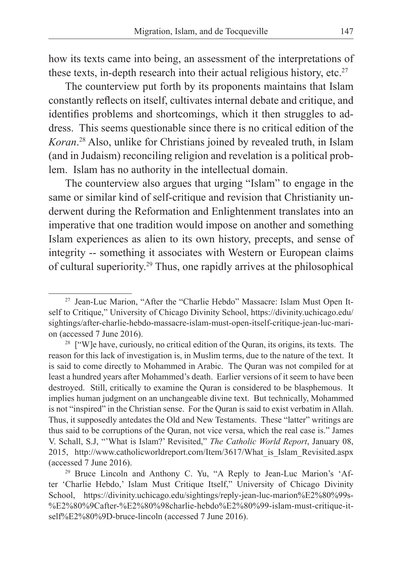how its texts came into being, an assessment of the interpretations of these texts, in-depth research into their actual religious history, etc.<sup>27</sup>

The counterview put forth by its proponents maintains that Islam constantly reflects on itself, cultivates internal debate and critique, and identifies problems and shortcomings, which it then struggles to address. This seems questionable since there is no critical edition of the *Koran*. 28 Also, unlike for Christians joined by revealed truth, in Islam (and in Judaism) reconciling religion and revelation is a political problem. Islam has no authority in the intellectual domain.

The counterview also argues that urging "Islam" to engage in the same or similar kind of self-critique and revision that Christianity underwent during the Reformation and Enlightenment translates into an imperative that one tradition would impose on another and something Islam experiences as alien to its own history, precepts, and sense of integrity -- something it associates with Western or European claims of cultural superiority.29 Thus, one rapidly arrives at the philosophical

<sup>27</sup> Jean-Luc Marion, "After the "Charlie Hebdo" Massacre: Islam Must Open Itself to Critique," University of Chicago Divinity School, https://divinity.uchicago.edu/ sightings/after-charlie-hebdo-massacre-islam-must-open-itself-critique-jean-luc-marion (accessed 7 June 2016).

<sup>&</sup>lt;sup>28</sup> ["W]e have, curiously, no critical edition of the Quran, its origins, its texts. The reason for this lack of investigation is, in Muslim terms, due to the nature of the text. It is said to come directly to Mohammed in Arabic. The Quran was not compiled for at least a hundred years after Mohammed's death. Earlier versions of it seem to have been destroyed. Still, critically to examine the Quran is considered to be blasphemous. It implies human judgment on an unchangeable divine text. But technically, Mohammed is not "inspired" in the Christian sense. For the Quran is said to exist verbatim in Allah. Thus, it supposedly antedates the Old and New Testaments. These "latter" writings are thus said to be corruptions of the Quran, not vice versa, which the real case is." James V. Schall, S.J, "'What is Islam?' Revisited," *The Catholic World Report*, January 08, 2015, http://www.catholicworldreport.com/Item/3617/What\_is\_Islam\_Revisited.aspx (accessed 7 June 2016).

<sup>&</sup>lt;sup>29</sup> Bruce Lincoln and Anthony C. Yu, "A Reply to Jean-Luc Marion's 'After 'Charlie Hebdo,' Islam Must Critique Itself," University of Chicago Divinity School, https://divinity.uchicago.edu/sightings/reply-jean-luc-marion%E2%80%99s- %E2%80%9Cafter-%E2%80%98charlie-hebdo%E2%80%99-islam-must-critique-itself%E2%80%9D-bruce-lincoln (accessed 7 June 2016).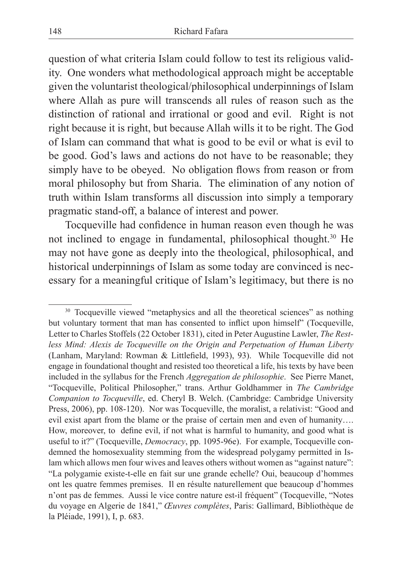question of what criteria Islam could follow to test its religious validity. One wonders what methodological approach might be acceptable given the voluntarist theological/philosophical underpinnings of Islam where Allah as pure will transcends all rules of reason such as the distinction of rational and irrational or good and evil. Right is not right because it is right, but because Allah wills it to be right. The God of Islam can command that what is good to be evil or what is evil to be good. God's laws and actions do not have to be reasonable; they simply have to be obeyed. No obligation flows from reason or from moral philosophy but from Sharia. The elimination of any notion of truth within Islam transforms all discussion into simply a temporary pragmatic stand-off, a balance of interest and power.

Tocqueville had confidence in human reason even though he was not inclined to engage in fundamental, philosophical thought.30 He may not have gone as deeply into the theological, philosophical, and historical underpinnings of Islam as some today are convinced is necessary for a meaningful critique of Islam's legitimacy, but there is no

<sup>&</sup>lt;sup>30</sup> Tocqueville viewed "metaphysics and all the theoretical sciences" as nothing but voluntary torment that man has consented to inflict upon himself" (Tocqueville, Letter to Charles Stoffels (22 October 1831), cited in Peter Augustine Lawler, *The Restless Mind: Alexis de Tocqueville on the Origin and Perpetuation of Human Liberty* (Lanham, Maryland: Rowman & Littlefield, 1993), 93). While Tocqueville did not engage in foundational thought and resisted too theoretical a life, his texts by have been included in the syllabus for the French *Aggregation de philosophie*. See Pierre Manet, "Tocqueville, Political Philosopher," trans. Arthur Goldhammer in *The Cambridge Companion to Tocqueville*, ed. Cheryl B. Welch. (Cambridge: Cambridge University Press, 2006), pp. 108-120). Nor was Tocqueville, the moralist, a relativist: "Good and evil exist apart from the blame or the praise of certain men and even of humanity…. How, moreover, to define evil, if not what is harmful to humanity, and good what is useful to it?" (Tocqueville, *Democracy*, pp. 1095-96e). For example, Tocqueville condemned the homosexuality stemming from the widespread polygamy permitted in Islam which allows men four wives and leaves others without women as "against nature": "La polygamie existe-t-elle en fait sur une grande echelle? Oui, beaucoup d'hommes ont les quatre femmes premises. Il en résulte naturellement que beaucoup d'hommes n'ont pas de femmes. Aussi le vice contre nature est-il fréquent" (Tocqueville, "Notes du voyage en Algerie de 1841," *Œuvres complètes*, Paris: Gallimard, Bibliothèque de la Pléiade, 1991), I, p. 683.